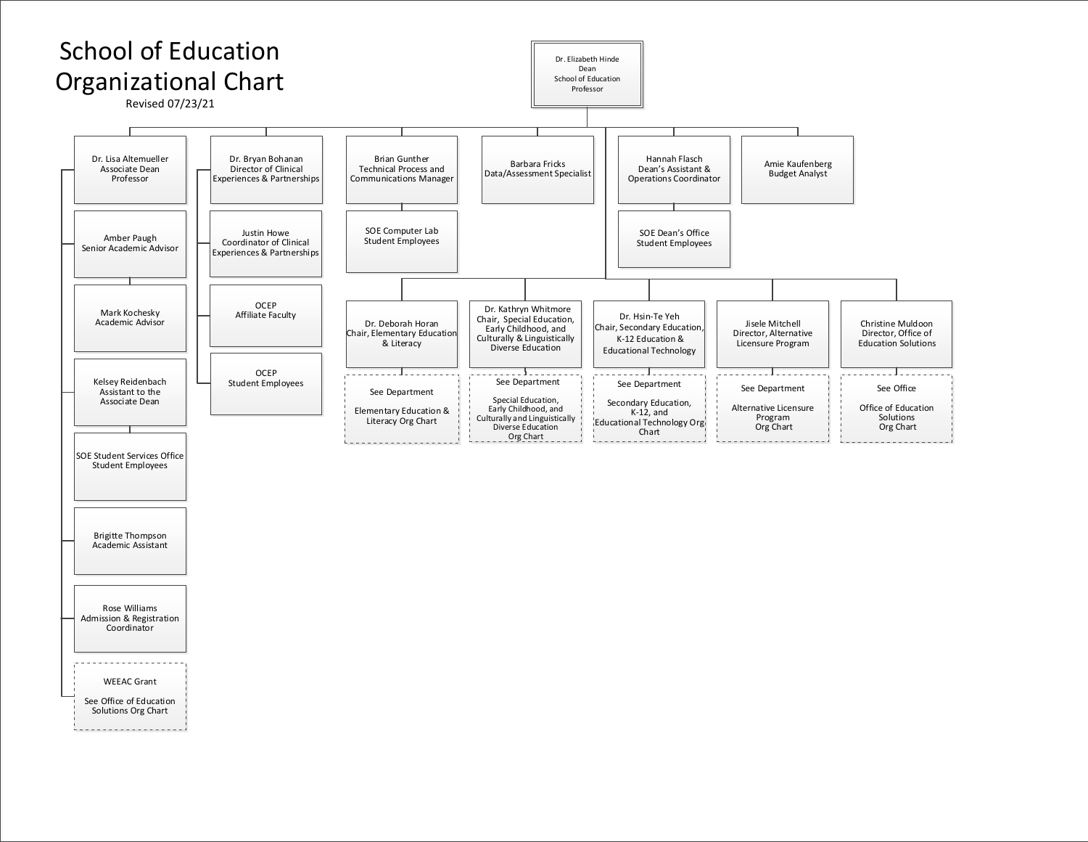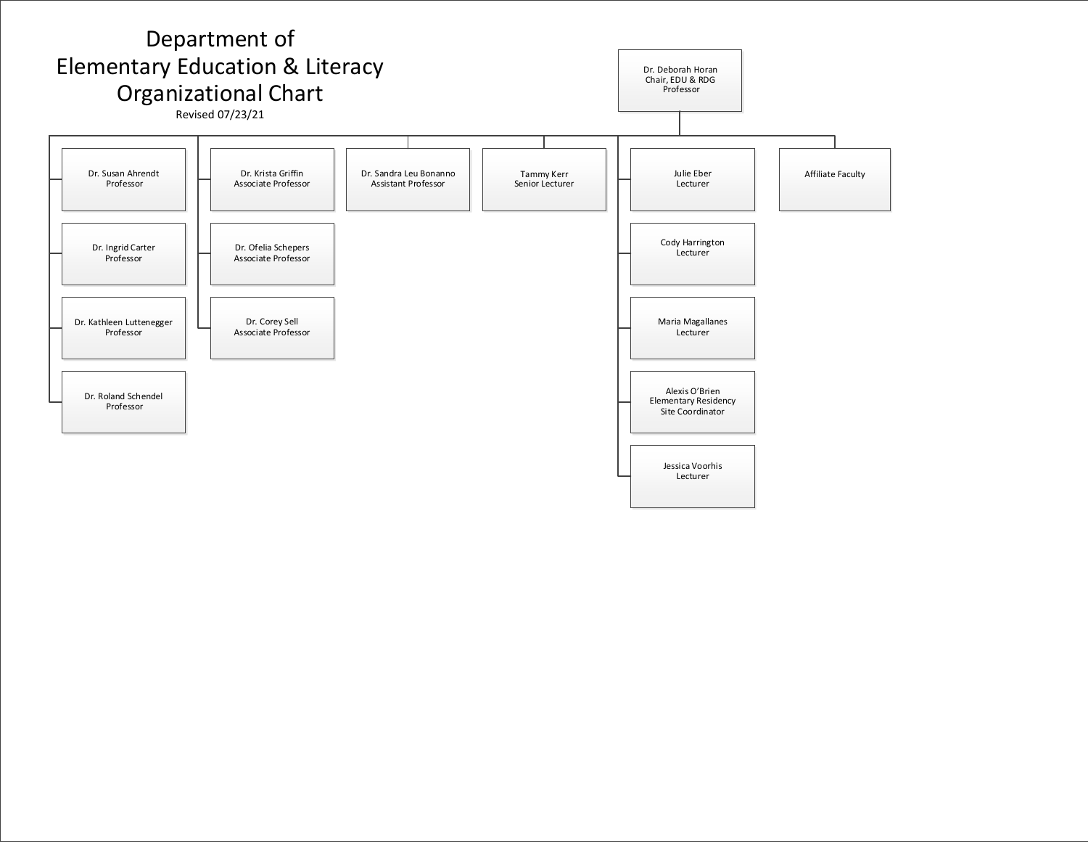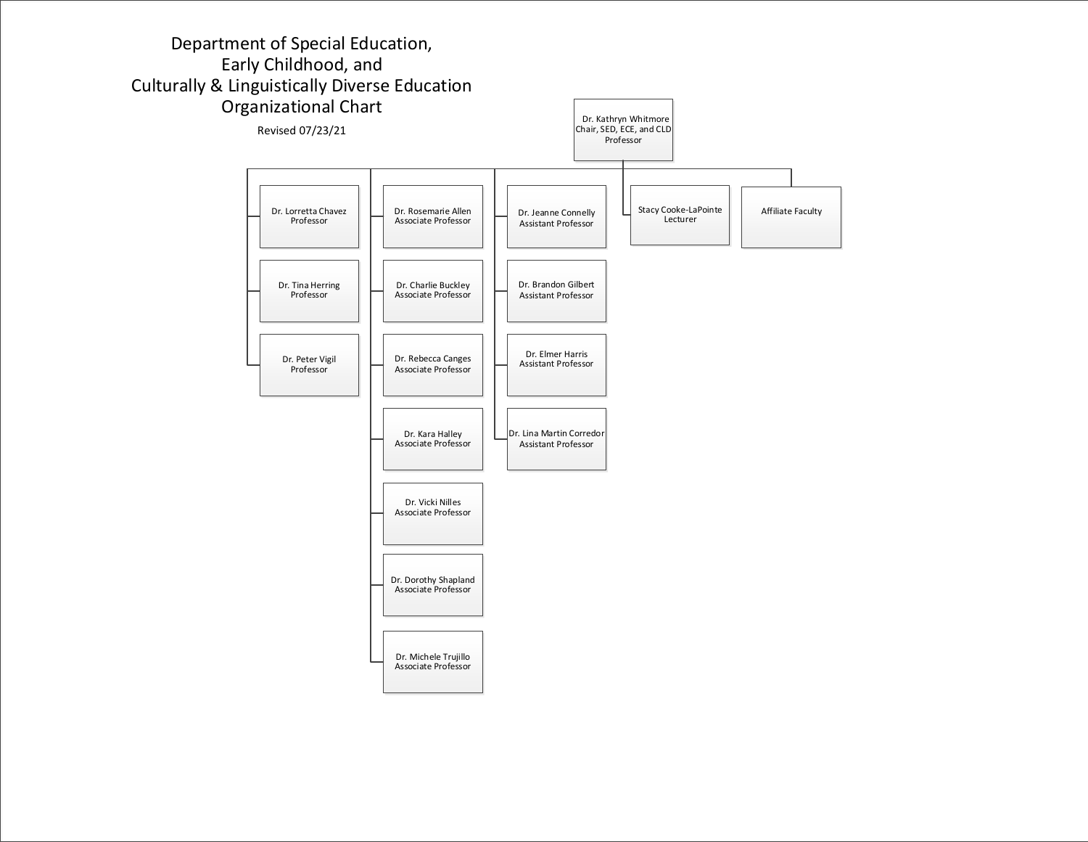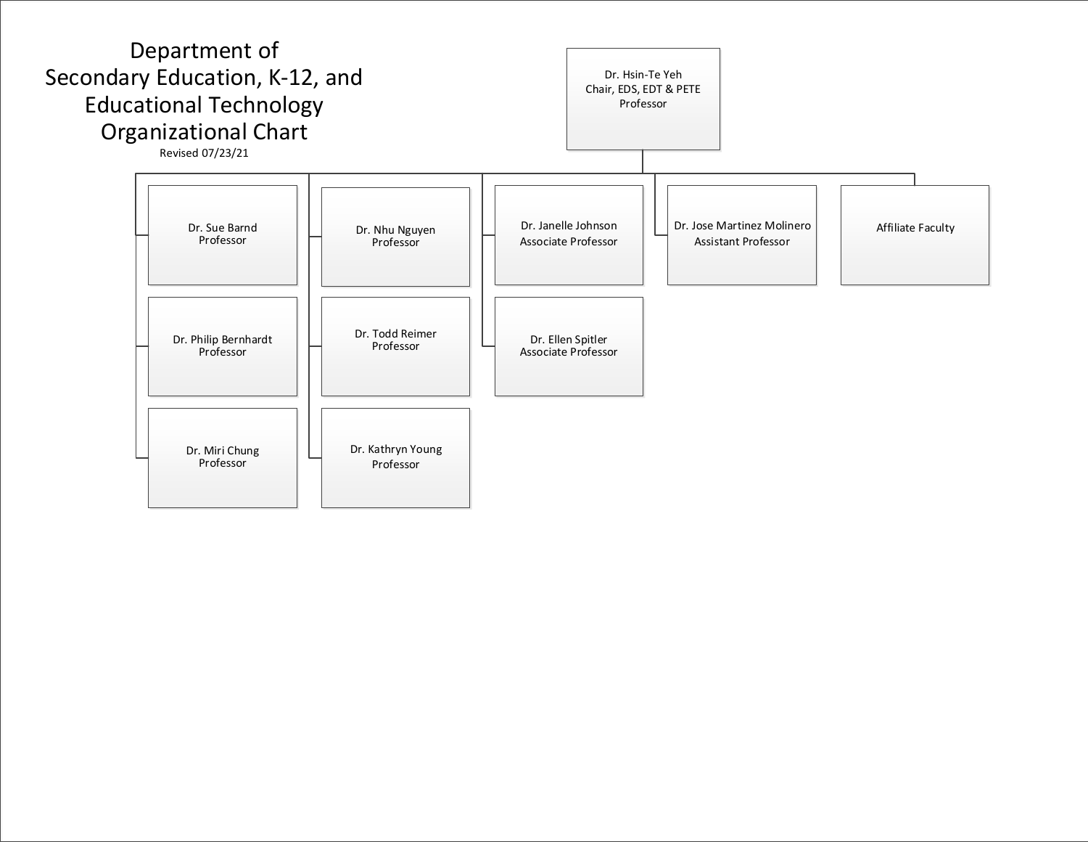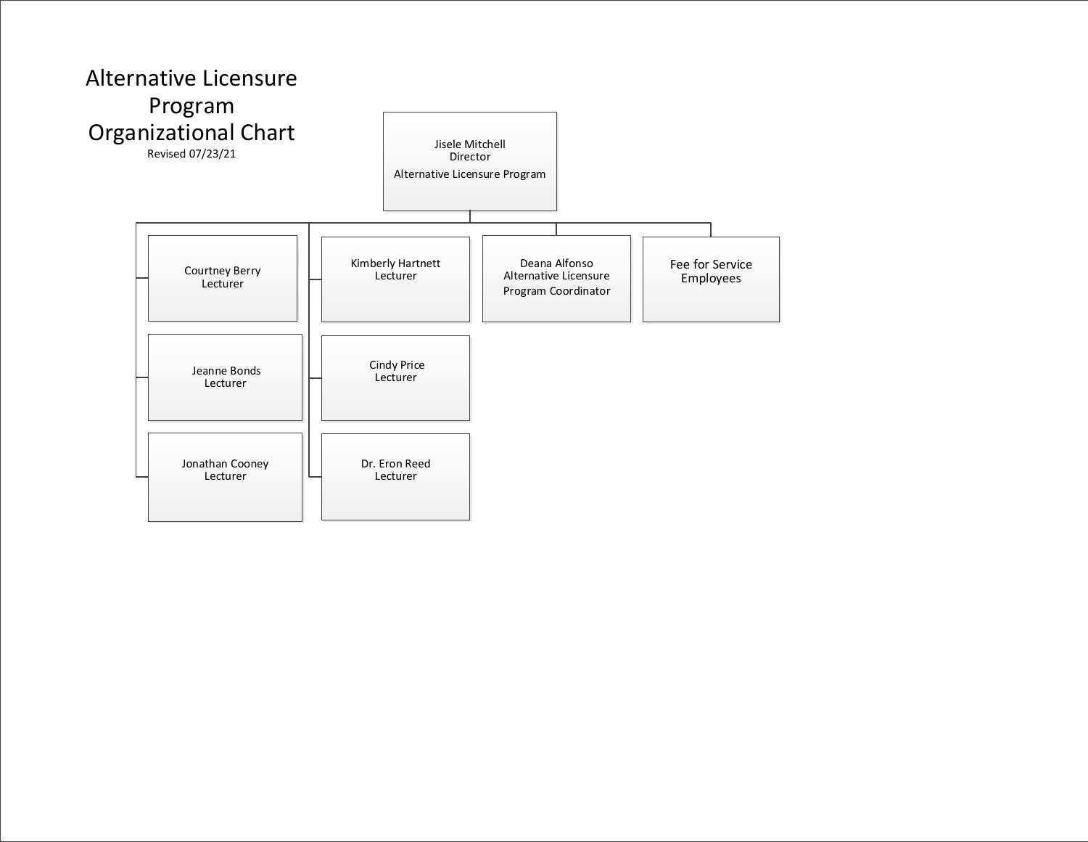